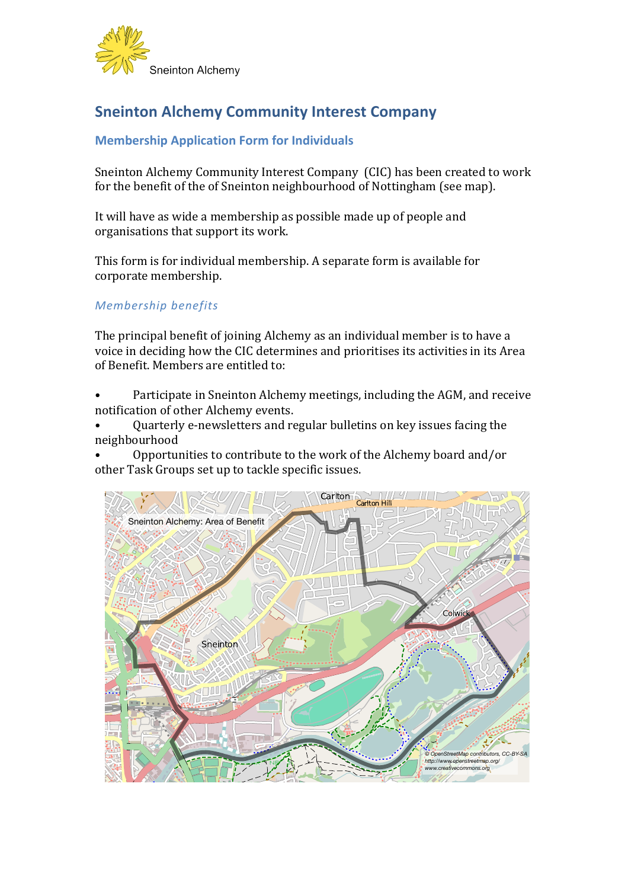

## **Sneinton Alchemy Community Interest Company**

## **Membership Application Form for Individuals**

Sneinton Alchemy Community Interest Company (CIC) has been created to work for the benefit of the of Sneinton neighbourhood of Nottingham (see map).

It will have as wide a membership as possible made up of people and organisations that support its work.

This form is for individual membership. A separate form is available for corporate membership.

## *Membership benefits*

The principal benefit of joining Alchemy as an individual member is to have a voice in deciding how the CIC determines and prioritises its activities in its Area of Benefit. Members are entitled to:

Participate in Sneinton Alchemy meetings, including the AGM, and receive notification of other Alchemy events.

Quarterly e-newsletters and regular bulletins on key issues facing the neighbourhood

Opportunities to contribute to the work of the Alchemy board and/or other Task Groups set up to tackle specific issues.